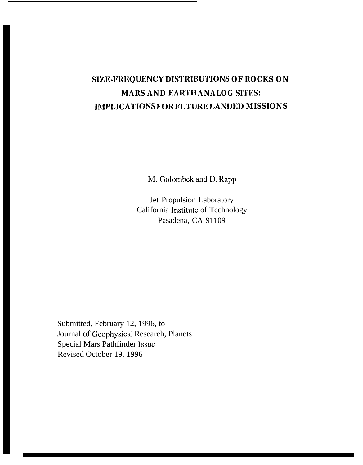# **SIZE-FREQUENCY DISTRIBUTIONS OF ROCKS ON MARS AND EARTI1 ANALOG SITES:** IMPLICATIONS FOR FUTURE LANDED MISSIONS

M. Golombek and D. Rapp

Jet Propulsion Laboratory California Institute of Technology Pasadena, CA 91109

Submitted, February 12, 1996, to Journal of Gcophysica] Research, Planets Special Mars Pathfinder Issue Revised October 19, 1996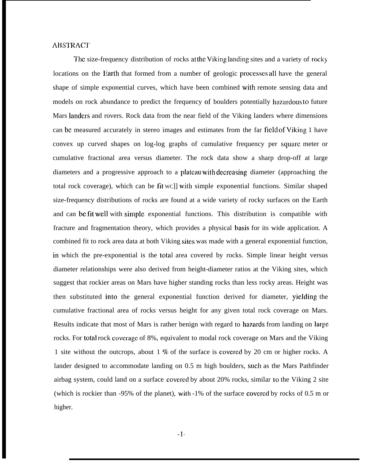### **ABSTRACT**

The size-frequency distribution of rocks at the Viking landing sites and a variety of rocky locations on the Earth that formed from a number of geologic proccsscs all have the general shape of simple exponential curves, which have been combined with remote sensing data and models on rock abundance to predict the frequency of boulders potentially hazardous to future Mars Iandcrs and rovers. Rock data from the near field of the Viking landers where dimensions can be measured accurately in stereo images and estimates from the far field of Viking 1 have convex up curved shapes on log-log graphs of cumulative frequency per square meter or cumulative fractional area versus diameter. The rock data show a sharp drop-off at large diameters and a progressive approach to a plateau with decreasing diameter (approaching the total rock coverage), which can be fit WC]] with simple exponential functions. Similar shaped size-frequency distributions of rocks are found at a wide variety of rocky surfaces on the Earth and can be fit well with simple exponential functions. This distribution is compatible with fracture and fragmentation theory, which provides a physical basis for its wide application. A combined fit to rock area data at both Viking sites was made with a general exponential function, in which the pre-exponential is the total area covered by rocks. Simple linear height versus diameter relationships were also derived from height-diameter ratios at the Viking sites, which suggest that rockier areas on Mars have higher standing rocks than less rocky areas. Height was then substituted into the general exponential function derived for diameter, yielding the cumulative fractional area of rocks versus height for any given total rock coverage on Mars. Results indicate that most of Mars is rather benign with regard to hazards from landing on large rocks. For total rock covcragc of 8%, equivalent to modal rock coverage on Mars and the Viking 1 site without the outcrops, about 1 % of the surface is covcrcd by 20 cm or higher rocks. A lander designed to accommodate landing on 0.5 m high boulders, such as the Mars Pathfinder airbag system, could land on a surface covcrcd by about 20% rocks, similar to the Viking 2 site (which is rockier than -95% of the planet), with -1% of the surface covcrcd by rocks of 0.5 m or higher.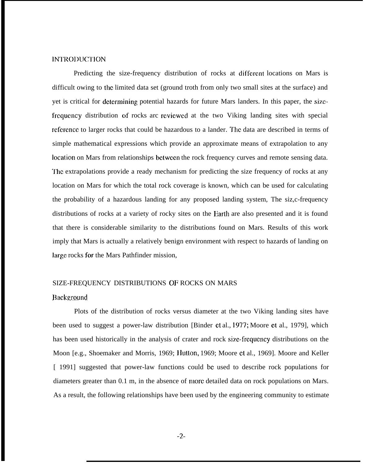## lNTRODUCTlON

Predicting the size-frequency distribution of rocks at different locations on Mars is difficult owing to the limited data set (ground troth from only two small sites at the surface) and yet is critical for determining potential hazards for future Mars landers. In this paper, the sizefrequcncy distribution of rocks arc rcvicwcd at the two Viking landing sites with special reference to larger rocks that could be hazardous to a lander. The data are described in terms of simple mathematical expressions which provide an approximate means of extrapolation to any location on Mars from relationships between the rock frequency curves and remote sensing data. The extrapolations provide a ready mechanism for predicting the size frequency of rocks at any location on Mars for which the total rock coverage is known, which can be used for calculating the probability of a hazardous landing for any proposed landing system, The siz,c-frequency distributions of rocks at a variety of rocky sites on the Earth are also presented and it is found that there is considerable similarity to the distributions found on Mars. Results of this work imply that Mars is actually a relatively benign environment with respect to hazards of landing on large rocks for the Mars Pathfinder mission,

## SIZE-FREQUENCY DISTRIBUTIONS OF ROCKS ON MARS

## **Background**

Plots of the distribution of rocks versus diameter at the two Viking landing sites have been used to suggest a power-law distribution [Binder et al., 1977; Moore et al., 1979], which has been used historically in the analysis of crater and rock size-frequency distributions on the Moon [e.g., Shoemaker and Morris, 1969; Hutton, 1969; Moore ct al., 1969]. Moore and Keller [ 1991] suggested that power-law functions could be used to describe rock populations for diameters greater than  $0.1 \text{ m}$ , in the absence of more detailed data on rock populations on Mars. As a result, the following relationships have been used by the engineering community to estimate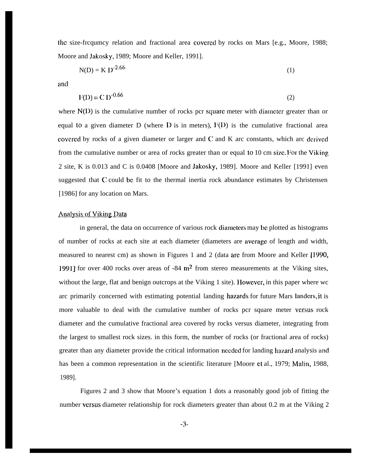the size-frequmey relation and fractional area covered by rocks on Mars [e.g., Moore, 1988; Moore and Jakosky, 1989; Moore and Keller, 1991].

$$
N(D) = K D^{-2.66}
$$
 (1)

and

$$
F(D) = C D^{-0.66}
$$

where  $N(D)$  is the cumulative number of rocks pcr square meter with diameter greater than or equal to a given diameter D (where  $D$  is in meters),  $F(D)$  is the cumulative fractional area covered by rocks of a given diameter or larger and  $C$  and  $K$  arc constants, which arc derived from the cumulative number or area of rocks greater than or equal to 10 cm size. For the Viking 2 site, K is 0.013 and C is 0.0408 [Moore and Jakosky, 1989]. Moore and Keller [1991] even suggested that C could bc fit to the thermal inertia rock abundance estimates by Christensen [1986] for any location on Mars.

## Analysis of Viking Data

in general, the data on occurrence of various rock diamctcrx may bc plotted as histograms of number of rocks at each site at each diameter (diameters are average of length and width, measured to nearest cm) as shown in Figures 1 and 2 (data are from Moore and Keller [1990, 1991] for over 400 rocks over areas of  $-84 \text{ m}^2$  from stereo measurements at the Viking sites, without the large, flat and benign outcrops at the Viking 1 site). However, in this paper where wc arc primarily concerned with estimating potential landing hazards for future Mars landers, it is more valuable to deal with the cumulative number of rocks pcr square meter versus rock diameter and the cumulative fractional area covered by rocks versus diameter, integrating from the largest to smallest rock sizes. in this form, the number of rocks (or fractional area of rocks) greater than any diameter provide the critical information nccclcd for landing hazard analysis md has been a common representation in the scientific literature [Moore et al., 1979; Malin, 1988, 1989].

Figures 2 and 3 show that Moore's equation 1 dots a reasonably good job of fitting the number versus diameter relationship for rock diameters greater than about 0.2 m at the Viking 2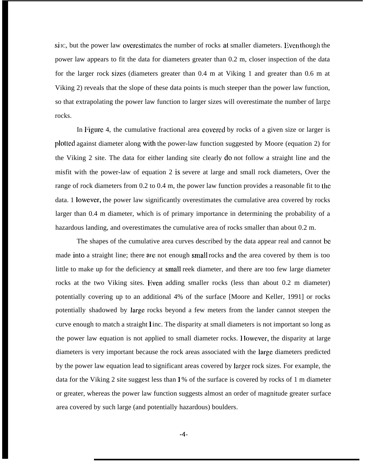si IC, but the power law overestimates the number of rocks at smaller diameters. Even though the power law appears to fit the data for diameters greater than 0.2 m, closer inspection of the data for the larger rock sizes (diameters greater than 0.4 m at Viking 1 and greater than 0.6 m at Viking 2) reveals that the slope of these data points is much steeper than the power law function, so that extrapolating the power law function to larger sizes will overestimate the number of large rocks.

In Figure 4, the cumulative fractional area covered by rocks of a given size or larger is plotted against diameter along with the power-law function suggested by Moore (equation 2) for the Viking 2 site. The data for either landing site clearly do not follow a straight line and the misfit with the power-law of equation 2 is severe at large and small rock diameters, Over the range of rock diameters from  $0.2$  to  $0.4$  m, the power law function provides a reasonable fit to the data. 1 lowcvcr, the power law significantly overestimates the cumulative area covered by rocks larger than 0.4 m diameter, which is of primary importance in determining the probability of a hazardous landing, and overestimates the cumulative area of rocks smaller than about 0.2 m.

The shapes of the cumulative area curves described by the data appear real and cannot be made into a straight line; there are not enough small rocks and the area covered by them is too little to make up for the deficiency at small reek diameter, and there are too few large diameter rocks at the two Viking sites. Even adding smaller rocks (less than about 0.2 m diameter) potentially covering up to an additional 4% of the surface [Moore and Keller, 1991] or rocks potentially shadowed by large rocks beyond a few meters from the lander cannot steepen the curve enough to match a straight 1 inc. The disparity at small diameters is not important so long as the power law equation is not applied to small diameter rocks. } lowcvcr, the disparity at large diameters is very important because the rock areas associated with the large diameters predicted by the power law equation lead to significant areas covered by larger rock sizes. For example, the data for the Viking 2 site suggest less than 1 % of the surface is covered by rocks of 1 m diameter or greater, whereas the power law function suggests almost an order of magnitude greater surface area covered by such large (and potentially hazardous) boulders.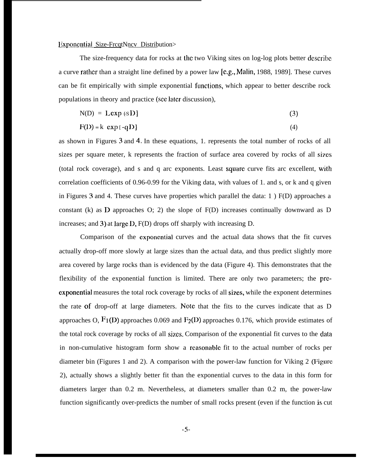## <sup>I</sup> ixponcntiai Size-FrcqtNncv Distribution>

The size-frequency data for rocks at the two Viking sites on log-log plots better dcscribc a curve rather than a straight line defined by a power law  $[c.g., Malin, 1988, 1989]$ . These curves can be fit empirically with simple exponential functions, which appear to better describe rock populations in theory and practice (see later discussion),

$$
N(D) = L \exp \{s D\}
$$
 (3)

$$
F(D) = k \exp[-qD]
$$
 (4)

as shown in Figures 3 and 4. In these equations, 1. represents the total number of rocks of all sizes per square meter, k represents the fraction of surface area covered by rocks of all sizes (total rock coverage), and s and q arc exponents. Least square curve fits arc excellent, with correlation coefficients of 0.96-0.99 for the Viking data, with values of 1. and s, or k and q given in Figures 3 and 4. These curves have properties which parallel the data: 1 ) F(D) approaches a constant (k) as D approaches O; 2) the slope of F(D) increases continually downward as D increases; and 3) at large D, F(D) drops off sharply with increasing D.

Comparison of the cxponcntia] curves and the actual data shows that the fit curves actually drop-off more slowly at large sizes than the actual data, and thus predict slightly more area covered by large rocks than is evidenced by the data (Figure 4). This demonstrates that the flexibility of the exponential function is limited. There are only two parameters; the prccxponential measures the total rock coverage by rocks of all sizes, while the exponent determines the rate of drop-off at large diameters. Note that the fits to the curves indicate that as D approaches O,  $F1(D)$  approaches 0.069 and  $F2(D)$  approaches 0.176, which provide estimates of the total rock coverage by rocks of all sizes. Comparison of the exponential fit curves to the clata in non-cumulative histogram form show a reasonable fit to the actual number of rocks per diameter bin (Figures 1 and 2). A comparison with the power-law function for Viking 2 (Figure 2), actually shows a slightly better fit than the exponential curves to the data in this form for diameters larger than 0.2 m. Nevertheless, at diameters smaller than 0.2 m, the power-law function significantly over-predicts the number of small rocks present (even if the function is cut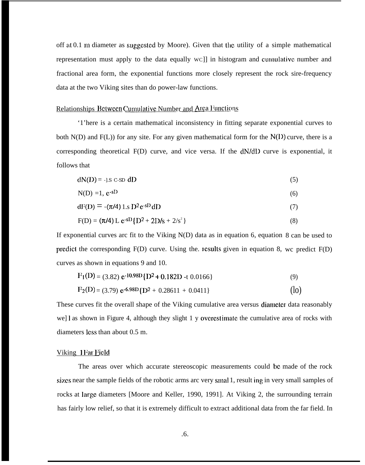off at  $0.1$  m diameter as suggested by Moore). Given that the utility of a simple mathematical representation must apply to the data equally  $wC$ ] in histogram and cumulative number and fractional area form, the exponential functions more closely represent the rock sire-frequency data at the two Viking sites than do power-law functions.

#### Relationships Between Cumulative Number and Arca Functions

'1'here is a certain mathematical inconsistency in fitting separate exponential curves to both  $N(D)$  and  $F(L)$ ) for any site. For any given mathematical form for the  $N(D)$  curve, there is a corresponding theoretical F(D) curve, and vice versa. If the dN/dD curve is exponential, it follows that

$$
dN(D) = -1.5 \text{ C-SD } dD \tag{5}
$$

$$
N(D) = 1, e^{-sD} \tag{6}
$$

$$
dF(D) = -(\pi/4) 1 \text{ s } D^2 e^{-sD} dD \tag{7}
$$

$$
F(D) = (\pi/4) L e^{-sD} \{D^2 + 2D/s + 2/s^2\}
$$
 (8)

If exponential curves arc fit to the Viking N(D) data as in equation 6, equation 8 can be used to predict the corresponding F(D) curve. Using the. results given in equation 8, we predict F(D) curves as shown in equations 9 and 10.

$$
F_1(D) = (3.82) e^{-10.98D} \{D^2 + 0.182D - t \cdot 0.0166\}
$$
\n
$$
F_2(D) = (3.79) e^{-6.98D} \{D^2 + 0.28611 + 0.0411\}
$$
\n(10)

These curves fit the overall shape of the Viking cumulative area versus diameter data reasonably we] I as shown in Figure 4, although they slight 1 y overestimate the cumulative area of rocks with diameters less than about 0.5 m.

#### Viking 1 Far Field

The areas over which accurate stereoscopic measurements could be made of the rock sizes near the sample fields of the robotic arms arc very smal 1, result ing in very small samples of rocks at large diameters [Moore and Keller, 1990, 1991]. At Viking 2, the surrounding terrain has fairly low relief, so that it is extremely difficult to extract additional data from the far field. In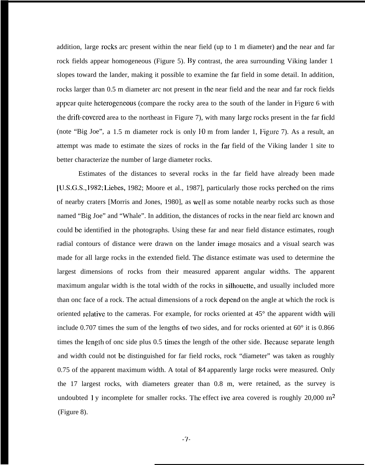addition, large rocks arc present within the near field (up to 1 m diameter) and the near and far rock fields appear homogeneous (Figure 5). By contrast, the area surrounding Viking lander 1 slopes toward the lander, making it possible to examine the far field in some detail. In addition, rocks larger than 0.5 m diameter arc not present in the near field and the near and far rock fields appear quite heterogeneous (compare the rocky area to the south of the lander in Figure 6 with the drift-covered area to the northeast in Figure 7), with many large rocks present in the far field (note "Big Joe", a 1.5 m diameter rock is only  $10$  m from lander 1, Figure 7). As a result, an attempt was made to estimate the sizes of rocks in the far field of the Viking lander 1 site to better characterize the number of large diameter rocks.

Estimates of the distances to several rocks in the far field have already been made [LJ.S.G.S., 1982; l.icbcs, 1982; Moore et al., 1987], particularly those rocks pcrchcd on the rims of nearby craters [Morris and Jones, 1980], as WC]] as some notable nearby rocks such as those named "Big Joe" and "Whale". In addition, the distances of rocks in the near field arc known and could bc identified in the photographs. Using these far and near field distance estimates, rough radial contours of distance were drawn on the lander image mosaics and a visual search was made for all large rocks in the extended field. The distance estimate was used to determine the largest dimensions of rocks from their measured apparent angular widths. The apparent maximum angular width is the total width of the rocks in silhouette, and usually included more than onc face of a rock. The actual dimensions of a rock depend on the angle at which the rock is oriented relative to the cameras. For example, for rocks oriented at  $45^{\circ}$  the apparent width will include 0.707 times the sum of the lengths of two sides, and for rocks oriented at  $60^\circ$  it is 0.866 times the length of onc side plus 0.5 times the length of the other side. Because separate length and width could not bc distinguished for far field rocks, rock "diameter" was taken as roughly 0.75 of the apparent maximum width. A total of 84 apparently large rocks were measured. Only the 17 largest rocks, with diameters greater than 0.8 m, were retained, as the survey is undoubted 1 y incomplete for smaller rocks. The effect ive area covered is roughly  $20,000 \text{ m}^2$ (Figure 8).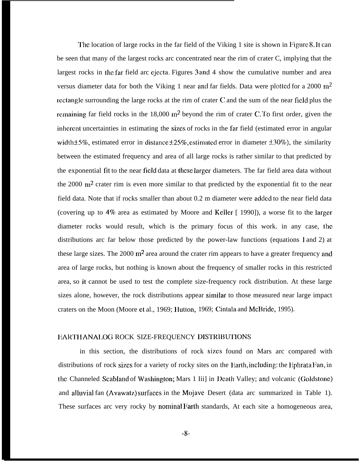The location of large rocks in the far field of the Viking 1 site is shown in Figure 8. It can be seen that many of the largest rocks arc concentrated near the rim of crater C, implying that the largest rocks in the far field arc ejecta. Figures 3 and 4 show the cumulative number and area versus diameter data for both the Viking 1 near and far fields. Data were plotted for a 2000  $m^2$ rectangle surrounding the large rocks at the rim of crater  $C$  and the sum of the near field plus the rcmaining far field rocks in the 18,000 m<sup>2</sup> beyond the rim of crater C. To first order, given the inherent uncertainties in estimating the sizes of rocks in the far field (estimated error in angular width  $\pm$  5%, estimated error in distance  $\pm$  25%, estimated error in diameter  $\pm$  30%), the similarity between the estimated frequency and area of all large rocks is rather similar to that predicted by the exponential fit to the near field data at these larger diameters. The far field area data without the  $2000 \text{ m}^2$  crater rim is even more similar to that predicted by the exponential fit to the near field data. Note that if rocks smaller than about 0.2 m diameter were added to the near field data (covering up to 4% area as estimated by Moore and Keller [ 1990]), a worse fit to the larger diameter rocks would result, which is the primary focus of this work. in any case, the distributions arc far below those predicted by the power-law functions (equations 1 and 2) at these large sizes. The  $2000 \text{ m}^2$  area around the crater rim appears to have a greater frequency and area of large rocks, but nothing is known about the frequency of smaller rocks in this restricted area, so it cannot be used to test the complete size-frequency rock distribution. At these large sizes alone, however, the rock distributions appear similar to those measured near large impact craters on the Moon (Moore et al., 1969; Hutton, 1969; Cintala and McBride, 1995).

#### EARTH ANALOG ROCK SIZE-FREQUENCY DISTRIBUTIONS

in this section, the distributions of rock sizes found on Mars arc compared with distributions of rock sizes for a variety of rocky sites on the Earth, including: the Ephrata Fan, in the Channeled Scabland of Washington; Mars 1 Iii] in Death Valley; and volcanic (Goldstone) and alluvial fan (Avawatz) surfaces in the Mojave Desert (data arc summarized in Table 1). These surfaces arc very rocky by nominal Earth standards, At each site a homogeneous area,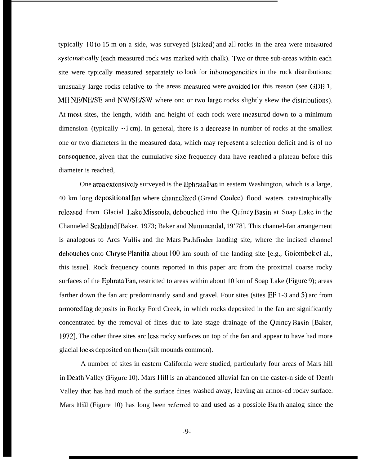typically 10 to 15 m on a side, was surveyed (staked) and all rocks in the area were measured systematically (each measured rock was marked with chalk). Two or three sub-areas within each site were typically measured separately to look for inhomogeneities in the rock distributions; unusually large rocks relative to the areas mcasured were avoided for this reason (see GDB 1, MHNE/NE/SE and NW/SE/SW where onc or two large rocks slightly skew the distributions) At most sites, the length, width and height of each rock were measured down to a minimum dimension (typically  $\sim$ 1 cm). In general, there is a decrease in number of rocks at the smallest one or two diameters in the measured data, which may rcprcscnt a selection deficit and is of no consequence, given that the cumulative size frequency data have reached a plateau before this diameter is reached,

One area extensively surveyed is the Ephrata Fan in eastern Washington, which is a large, 40 km long depositional fan where channelized (Grand Coulce) flood waters catastrophically rcleased from Glacial Lake Missoula, debouched into the Quincy Basin at Soap Lake in the Channeled Scabland [Baker, 1973; Baker and Nummcndal, 19'78]. This channel-fan arrangement is analogous to Arcs Vallis and the Mars Pathfinder landing site, where the incised channel debouches onto Chryse Planitia about 100 km south of the landing site [e.g., Golombek et al., this issue]. Rock frequency counts reported in this paper arc from the proximal coarse rocky surfaces of the Ephrata Fan, restricted to areas within about 10 km of Soap Lake (Figure 9); areas farther down the fan arc predominantly sand and gravel. Four sites (sites EF 1-3 and 5) arc from armored lag deposits in Rocky Ford Creek, in which rocks deposited in the fan arc significantly concentrated by the removal of fines duc to late stage drainage of the Quincy Basin [Baker, 1972]. The other three sites arc less rocky surfaces on top of the fan and appear to have had more glacial IOCSS deposited on thcm (silt mounds common).

A number of sites in eastern California were studied, particularly four areas of Mars hill in Death Valley (Figure 10). Mars Hill is an abandoned alluvial fan on the caster-n side of Death Valley that has had much of the surface fines washed away, leaving an armor-cd rocky surface. Mars Hill (Figure 10) has long been referred to and used as a possible Earth analog since the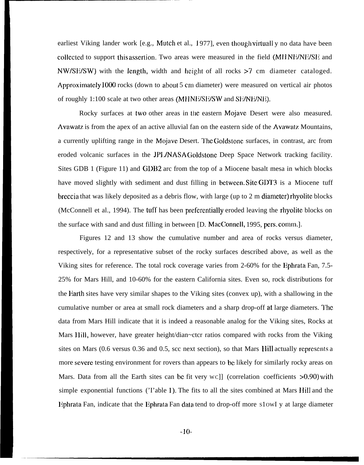earliest Viking lander work [e.g., Mutch et al., 1977], even though virtuall y no data have been collected to support this assertion. Two areas were measured in the field (MHNE/NE/SE and  $NW/SE/SW$ ) with the length, width and height of all rocks  $>7$  cm diameter cataloged. Approximately 1000 rocks (down to about 5 cm diameter) were measured on vertical air photos of roughly 1:100 scale at two other areas (MHNE/SE/SW and SE/NE/NE).

Rocky surfaces at two other areas in the eastern Mojavc Desert were also measured. Avawatz is from the apex of an active alluvial fan on the eastern side of the Avawatz Mountains, a currently uplifting range in the Mojavc Desert. '1'hc Goldstone surfaces, in contrast, arc from eroded volcanic surfaces in the JP1./NASA Goldstonc Deep Space Network tracking facility. Sites GDB 1 (Figure 11) and GDB2 arc from the top of a Miocene basalt mesa in which blocks have moved slightly with sediment and dust filling in between. Site GDT3 is a Miocene tuff breccia that was likely deposited as a debris flow, with large (up to 2 m diameter) rhyolite blocks (McConnell et al., 1994). The tuff has been prcfcrcntially eroded leaving the rhyolite blocks on the surface with sand and dust filling in between [D. MacConncll, 1995, pcrs, comm,].

Figures 12 and 13 show the cumulative number and area of rocks versus diameter, respectively, for a representative subset of the rocky surfaces described above, as well as the Viking sites for reference. The total rock coverage varies from 2-60% for the Ephrata Fan, 7.5- 25% for Mars Hill, and 10-60% for the eastern California sites. Even so, rock distributions for the Earth sites have very similar shapes to the Viking sites (convex up), with a shallowing in the cumulative number or area at small rock diameters and a sharp drop-off at large diameters. '1'hc data from Mars Hill indicate that it is indeed a reasonable analog for the Viking sites, Rocks at Mars Hill, however, have greater height/dian~ctcr ratios compared with rocks from the Viking sites on Mars (0.6 versus 0.36 and 0.5, scc next section), so that Mars Ilill actually rcprcscnts a more severe testing environment for rovers than appears to be likely for similarly rocky areas on Mars. Data from all the Earth sites can be fit very  $wC$ ] (correlation coefficients  $>0.90$ ) with simple exponential functions ('I'able 1). The fits to all the sites combined at Mars Hill and the Iiphrata Fan, indicate that the Ephrata Fan data tend to drop-off more S1OWI y at large diameter